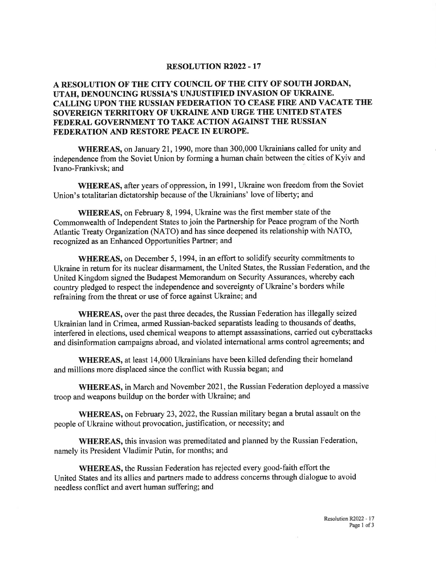## **RESOLUTION R2022 - 17**

## A RESOLUTION OF THE CITY COUNCIL OF THE CITY OF SOUTH JORDAN, UTAH, DENOUNCING RUSSIA'S UNJUSTIFIED INVASION OF UKRAINE. CALLING UPON THE RUSSIAN FEDERATION TO CEASE FIRE AND VACATE THE SOVEREIGN TERRITORY OF UKRAINE AND URGE THE UNITED STATES FEDERAL GOVERNMENT TO TAKE ACTION AGAINST THE RUSSIAN FEDERATION AND RESTORE PEACE IN EUROPE.

WHEREAS, on January 21, 1990, more than 300,000 Ukrainians called for unity and independence from the Soviet Union by forming a human chain between the cities of Kyiv and Ivano-Frankivsk; and

WHEREAS, after years of oppression, in 1991, Ukraine won freedom from the Soviet Union's totalitarian dictatorship because of the Ukrainians' love of liberty; and

WHEREAS, on February 8, 1994, Ukraine was the first member state of the Commonwealth of Independent States to join the Partnership for Peace program of the North Atlantic Treaty Organization (NATO) and has since deepened its relationship with NATO, recognized as an Enhanced Opportunities Partner; and

WHEREAS, on December 5, 1994, in an effort to solidify security commitments to Ukraine in return for its nuclear disarmament, the United States, the Russian Federation, and the United Kingdom signed the Budapest Memorandum on Security Assurances, whereby each country pledged to respect the independence and sovereignty of Ukraine's borders while refraining from the threat or use of force against Ukraine; and

WHEREAS, over the past three decades, the Russian Federation has illegally seized Ukrainian land in Crimea, armed Russian-backed separatists leading to thousands of deaths, interfered in elections, used chemical weapons to attempt assassinations, carried out cyberattacks and disinformation campaigns abroad, and violated international arms control agreements; and

**WHEREAS**, at least 14,000 Ukrainians have been killed defending their homeland and millions more displaced since the conflict with Russia began; and

WHEREAS, in March and November 2021, the Russian Federation deployed a massive troop and weapons buildup on the border with Ukraine; and

WHEREAS, on February 23, 2022, the Russian military began a brutal assault on the people of Ukraine without provocation, justification, or necessity; and

**WHEREAS**, this invasion was premeditated and planned by the Russian Federation, namely its President Vladimir Putin, for months; and

**WHEREAS, the Russian Federation has rejected every good-faith effort the** United States and its allies and partners made to address concerns through dialogue to avoid needless conflict and avert human suffering; and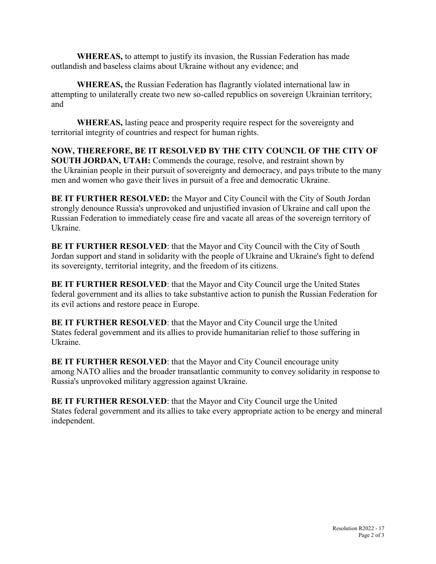WHEREAS, to attempt to justify its invasion, the Russian Federation has made outlandish and baseless claims about Ukraine without any evidence; and

WHEREAS, the Russian Federation has flagrantly violated international law in attempting to unilaterally create two new so-called republics on sovereign Ukrainian territory; and

WHEREAS, lasting peace and prosperity require respect for the sovereignty and territorial integrity of countries and respect for human rights.

NOW, THEREFORE, BE IT RESOLVED BY THE CITY COUNCIL OF THE CITY OF SOUTH JORDAN, UTAH: Commends the courage, resolve, and restraint shown by the Ukrainian people in their pursuit of sovereignty and democracy, and pays tribute to the many men and women who gave their lives in pursuit of a free and democratic Ukraine.

BE IT FURTHER RESOLVED: the Mayor and City Council with the City of South Jordan strongly denounce Russia's unprovoked and unjustified invasion of Ukraine and call upon the Russian Federation to immediately cease fire and vacate all areas of the sovereign territory of Ukraine.

BE IT FURTHER RESOLVED: that the Mayor and City Council with the City of South Jordan support and stand in solidarity with the people of Ukraine and Ukraine's fight to defend its sovereignty, territorial integrity, and the freedom of its citizens.

BE IT FURTHER RESOLVED: that the Mayor and City Council urge the United States federal government and its allies to take substantive action to punish the Russian Federation for its evil actions and restore peace in Europe.

BE IT FURTHER RESOLVED: that the Mayor and City Council urge the United States federal government and its allies to provide humanitarian relief to those suffering in Ukraine.

BE IT FURTHER RESOLVED: that the Mayor and City Council encourage unity among NATO allies and the broader transatlantic community to convey solidarity in response to Russia's unprovoked military aggression against Ukraine.

BE IT FURTHER RESOLVED: that the Mayor and City Council urge the United States federal government and its allies to take every appropriate action to be energy and mineral independent.